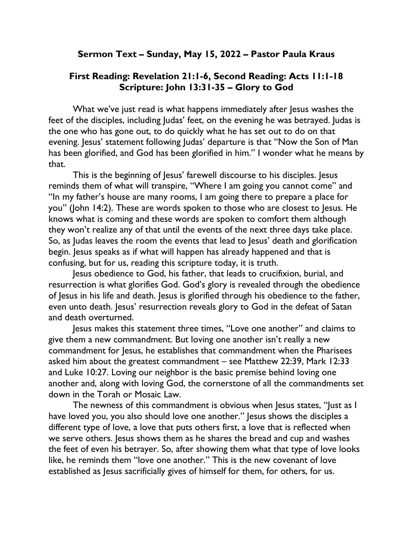## Sermon Text – Sunday, May 15, 2022 – Pastor Paula Kraus

## First Reading: Revelation 21:1-6, Second Reading: Acts 11:1-18 Scripture: John 13:31-35 – Glory to God

What we've just read is what happens immediately after Jesus washes the feet of the disciples, including Judas' feet, on the evening he was betrayed. Judas is the one who has gone out, to do quickly what he has set out to do on that evening. Jesus' statement following Judas' departure is that "Now the Son of Man has been glorified, and God has been glorified in him." I wonder what he means by that.

This is the beginning of Jesus' farewell discourse to his disciples. Jesus reminds them of what will transpire, "Where I am going you cannot come" and "In my father's house are many rooms, I am going there to prepare a place for you" (John 14:2). These are words spoken to those who are closest to Jesus. He knows what is coming and these words are spoken to comfort them although they won't realize any of that until the events of the next three days take place. So, as Judas leaves the room the events that lead to Jesus' death and glorification begin. Jesus speaks as if what will happen has already happened and that is confusing, but for us, reading this scripture today, it is truth.

Jesus obedience to God, his father, that leads to crucifixion, burial, and resurrection is what glorifies God. God's glory is revealed through the obedience of Jesus in his life and death. Jesus is glorified through his obedience to the father, even unto death. Jesus' resurrection reveals glory to God in the defeat of Satan and death overturned.

Jesus makes this statement three times, "Love one another" and claims to give them a new commandment. But loving one another isn't really a new commandment for Jesus, he establishes that commandment when the Pharisees asked him about the greatest commandment – see Matthew 22:39, Mark 12:33 and Luke 10:27. Loving our neighbor is the basic premise behind loving one another and, along with loving God, the cornerstone of all the commandments set down in the Torah or Mosaic Law.

The newness of this commandment is obvious when Jesus states, "Just as I have loved you, you also should love one another." Jesus shows the disciples a different type of love, a love that puts others first, a love that is reflected when we serve others. Jesus shows them as he shares the bread and cup and washes the feet of even his betrayer. So, after showing them what that type of love looks like, he reminds them "love one another." This is the new covenant of love established as Jesus sacrificially gives of himself for them, for others, for us.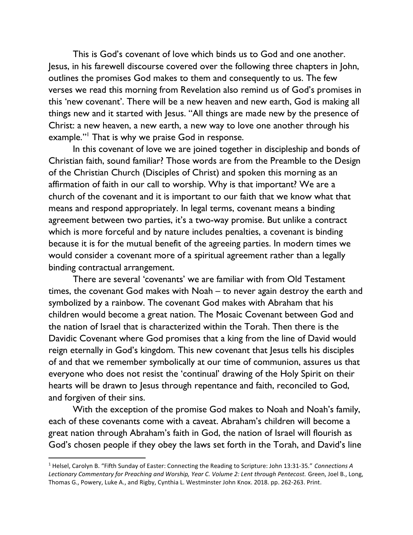This is God's covenant of love which binds us to God and one another. Jesus, in his farewell discourse covered over the following three chapters in John, outlines the promises God makes to them and consequently to us. The few verses we read this morning from Revelation also remind us of God's promises in this 'new covenant'. There will be a new heaven and new earth, God is making all things new and it started with Jesus. "All things are made new by the presence of Christ: a new heaven, a new earth, a new way to love one another through his example."<sup>1</sup> That is why we praise God in response.

In this covenant of love we are joined together in discipleship and bonds of Christian faith, sound familiar? Those words are from the Preamble to the Design of the Christian Church (Disciples of Christ) and spoken this morning as an affirmation of faith in our call to worship. Why is that important? We are a church of the covenant and it is important to our faith that we know what that means and respond appropriately. In legal terms, covenant means a binding agreement between two parties, it's a two-way promise. But unlike a contract which is more forceful and by nature includes penalties, a covenant is binding because it is for the mutual benefit of the agreeing parties. In modern times we would consider a covenant more of a spiritual agreement rather than a legally binding contractual arrangement.

There are several 'covenants' we are familiar with from Old Testament times, the covenant God makes with Noah – to never again destroy the earth and symbolized by a rainbow. The covenant God makes with Abraham that his children would become a great nation. The Mosaic Covenant between God and the nation of Israel that is characterized within the Torah. Then there is the Davidic Covenant where God promises that a king from the line of David would reign eternally in God's kingdom. This new covenant that Jesus tells his disciples of and that we remember symbolically at our time of communion, assures us that everyone who does not resist the 'continual' drawing of the Holy Spirit on their hearts will be drawn to Jesus through repentance and faith, reconciled to God, and forgiven of their sins.

With the exception of the promise God makes to Noah and Noah's family, each of these covenants come with a caveat. Abraham's children will become a great nation through Abraham's faith in God, the nation of Israel will flourish as God's chosen people if they obey the laws set forth in the Torah, and David's line

<sup>&</sup>lt;sup>1</sup> Helsel, Carolyn B. "Fifth Sunday of Easter: Connecting the Reading to Scripture: John 13:31-35." Connections A Lectionary Commentary for Preaching and Worship, Year C. Volume 2: Lent through Pentecost. Green, Joel B., Long, Thomas G., Powery, Luke A., and Rigby, Cynthia L. Westminster John Knox. 2018. pp. 262-263. Print.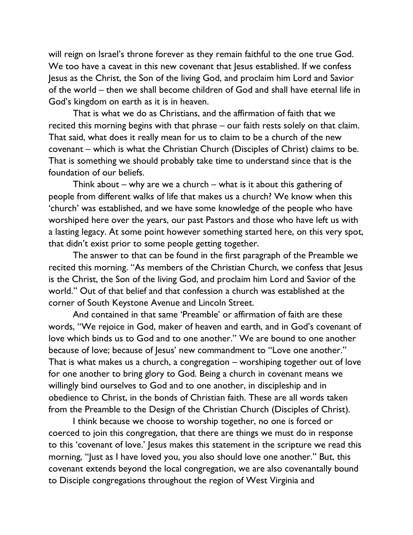will reign on Israel's throne forever as they remain faithful to the one true God. We too have a caveat in this new covenant that Jesus established. If we confess Jesus as the Christ, the Son of the living God, and proclaim him Lord and Savior of the world – then we shall become children of God and shall have eternal life in God's kingdom on earth as it is in heaven.

That is what we do as Christians, and the affirmation of faith that we recited this morning begins with that phrase – our faith rests solely on that claim. That said, what does it really mean for us to claim to be a church of the new covenant – which is what the Christian Church (Disciples of Christ) claims to be. That is something we should probably take time to understand since that is the foundation of our beliefs.

Think about – why are we a church – what is it about this gathering of people from different walks of life that makes us a church? We know when this 'church' was established, and we have some knowledge of the people who have worshiped here over the years, our past Pastors and those who have left us with a lasting legacy. At some point however something started here, on this very spot, that didn't exist prior to some people getting together.

The answer to that can be found in the first paragraph of the Preamble we recited this morning. "As members of the Christian Church, we confess that Jesus is the Christ, the Son of the living God, and proclaim him Lord and Savior of the world." Out of that belief and that confession a church was established at the corner of South Keystone Avenue and Lincoln Street.

And contained in that same 'Preamble' or affirmation of faith are these words, "We rejoice in God, maker of heaven and earth, and in God's covenant of love which binds us to God and to one another." We are bound to one another because of love; because of Jesus' new commandment to "Love one another." That is what makes us a church, a congregation – worshiping together out of love for one another to bring glory to God. Being a church in covenant means we willingly bind ourselves to God and to one another, in discipleship and in obedience to Christ, in the bonds of Christian faith. These are all words taken from the Preamble to the Design of the Christian Church (Disciples of Christ).

I think because we choose to worship together, no one is forced or coerced to join this congregation, that there are things we must do in response to this 'covenant of love.' Jesus makes this statement in the scripture we read this morning, "Just as I have loved you, you also should love one another." But, this covenant extends beyond the local congregation, we are also covenantally bound to Disciple congregations throughout the region of West Virginia and